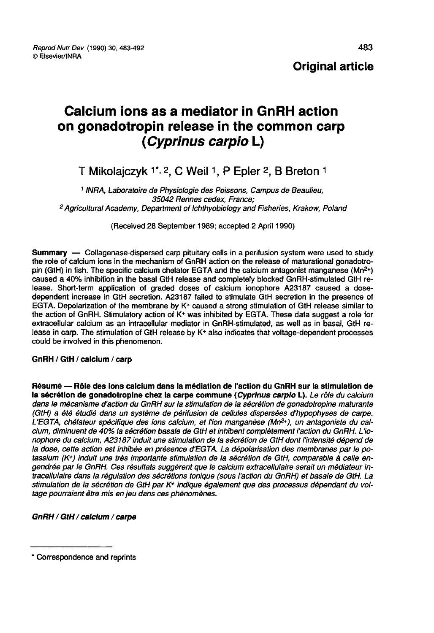### **Original article**

# Calcium ions as a mediator in GnRH action on gonadotropin release in the common carp ( Cyprinus carpio L)

## T Mikolaiczyk 1\*, 2. C Weil 1, P Epler 2, B Breton 1

<sup>1</sup> INRA, Laboratoire de Physiologie des Poissons, Campus de Beaulieu,<br>35042 Rennes cedex, France: <sup>2</sup> Agricultural Academy, Department of Ichthyobiology and Fisheries, Krakow, Poland

(Received 28 September 1989; accepted 2 April 1990)

**Summary** — Collagenase-dispersed carp pituitary cells in a perifusion system were used to study<br>the role of calcium ions in the mechanism of GnRH action on the release of maturational gonadotro-<br>pin (GtH) in fish. The spe the role of calcium ions in the mechanism of GnRH action on the release of maturational gonadotro-<br>pin (GtH) in fish. The specific calcium chelator EGTA and the calcium antagonist manganese (Mn<sup>2+</sup>) caused a 40% inhibition in the basal GtH release and completely blocked GnRH-stimulated GtH release. Short-term application of graded doses of calcium ionophore A23187 caused a dosedependent increase in GtH secretion. A23187 failed to stimulate GtH secretion in the presence of EGTA. Depolarization of the membrane by K\* caused a strong stimulation of GtH release similar to the action of GnRH. Stimulatory action of K+ was inhibited by EGTA. These data suggest a role for extracellular calcium as an intracellular mediator in GnRH-stimulated, as well as in basal, GtH release in carp. The stimulation of GtH release by K+ also indicates that voltage-dependent processes could be involved in this phenomenon.

#### GnRH / GtH / calcium / carp

Résumé ― Rôle des ions calcium dans la médiation de l'action du GnRH sur la stimulation de la sécrétion de gonadotropine chez la carpe commune (Cyprinus carpio L). Le rôle du calcium dans le mécanisme d'action du GnRH sur la stimulation de la sécrétion de gonadotropine maturante (GtH) a été étudié dans un système de périfusion de cellules dispersées d'hypophyses de carpe. L'EGTA, chélateur spécifique des ions calcium, et l'ion manganèse (Mn<sup>2+</sup>), un antagoniste du calcium, diminuent de 40% la sécrétion basale de GtH et inhibent complètement l'action du GnRH. L'ionophore du calcium, A23187 induit une stimulation de la sécrétion de GtH dont l'intensité dépend de la dose, cette action est inhibée en présence d'EGTA. La dépolarisation des membranes par le potassium (K+) induit une très importante stimulation de la sécrétion de GtH, comparable à celle engendrée par le GnRH. Ces résultats suggèrent que le calcium extracellulaire serait un médiateur intracellulaire dans la régulation des sécrétions tonique (sous l'action du GnRH) et basale de GtH. La stimulation de la sécrétion de GtH par K<sup>+</sup> indique également que des processus dépendant du voltage pourraient être mis en jeu dans ces phénomènes.

#### GnRH / GtH / calcium / carpe

<sup>\*</sup> Correspondence and reprints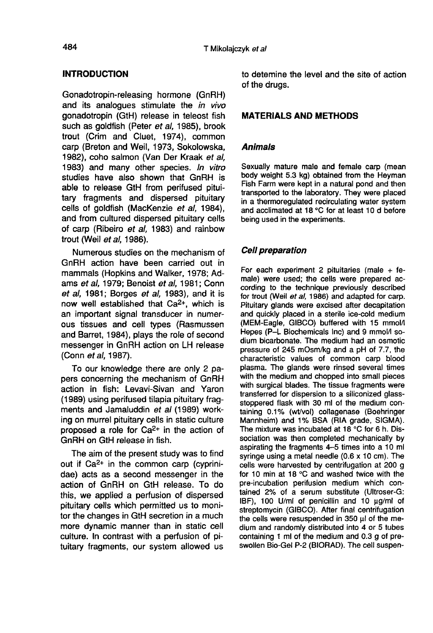#### INTRODUCTION

Gonadotropin-releasing hormone (GnRH) and its analoques stimulate the in vivo gonadotropin (GtH) release in teleost fish such as goldfish (Peter et al, 1985), brook trout (Crim and Cluet, 1974), common carp (Breton and Weil, 1973, Sokolowska, 1982), coho salmon (Van Der Kraak et al, 1983) and many other species. In vitro studies have also shown that GnRH is able to release GtH from perifused pituitary fragments and dispersed pituitary cells of goldfish (MacKenzie et al, 1984), and from cultured dispersed pituitary cells of carp (Ribeiro et al, 1983) and rainbow trout (Weil et al, 1986).

Numerous studies on the mechanism of GnRH action have been carried out in mammals (Hopkins and Walker, 1978; Adams et al, 1979; Benoist et al, 1981; Conn et al, 1981; Borges et al, 1983), and it is now well established that Ca2+, which is an important signal transducer in numerous tissues and cell types (Rasmussen and Barret, 1984), plays the role of second messenger in GnRH action on LH release (Conn et al, 1987).

To our knowledge there are only 2 papers concerning the mechanism of GnRH action in fish: Levavi-Sivan and Yaron (1989) using perifused tilapia pituitary fragments and Jamaluddin et al (1989) working on murrel pituitary cells in static culture proposed a role for  $Ca^{2+}$  in the action of GnRH on GtH release in fish.

The aim of the present study was to find out if Ca2+ in the common carp (cyprinidae) acts as a second messenger in the action of GnRH on GtH release. To do this, we applied a perfusion of dispersed pituitary cells which permitted us to monitor the changes in GtH secretion in a much more dynamic manner than in static cell culture. In contrast with a perfusion of pituitary fragments, our system allowed us to detemine the level and the site of action of the drugs.

#### MATERIALS AND METHODS

#### Animals

Sexually mature male and female carp (mean body weight 5.3 kg) obtained from the Heyman Fish Farm were kept in a natural pond and then transported to the laboratory. They were placed in a thermoregulated recirculating water system and acclimated at 18 °C for at least 10 d before being used in the experiments.

#### Cell preparation

For each experiment 2 pituitaries (male  $+$  female) were used; the cells were prepared according to the technique previously described for trout (Weil et al, 1986) and adapted for carp. Pituitary glands were excised after decapitation and quickly placed in a sterile ice-cold medium (MEM-Eagle, GIBCO) buffered with 15 mmola Hepes (P-L Biochemicals Inc) and 9 mmol/I sodium bicarbonate. The medium had an osmotic pressure of 245 mOsm/kg and a pH of 7.7, the characteristic values of common carp blood plasma. The glands were rinsed several times with the medium and chopped into small pieces with surgical blades. The tissue fragments were transferred for dispersion to a siliconized glassstoppered flask with 30 ml of the medium containing 0.1% (wt/vol) collagenase (Boehringer Mannheim) and 1% BSA (RIA grade, SIGMA). The mixture was incubated at 18 °C for 6 h. Dissociation was then completed mechanically by aspirating the fragments 4-5 times into a 10 ml syringe using a metal needle (0.6 x 10 cm). The cells were harvested by centrifugation at 200 g for 10 min at 18 °C and washed twice with the pre-incubation perifusion medium which contained 2% of a serum substitute (Ultroser-G: IBF), 100 U/ml of penicillin and 10 ug/ml of streptomycin (GIBCO). After final centrifugation the cells were resuspended in 350 µl of the medium and randomly distributed into 4 or 5 tubes containing 1 ml of the medium and 0.3 g of preswollen Bio-Gel P-2 (BIORAD). The cell suspen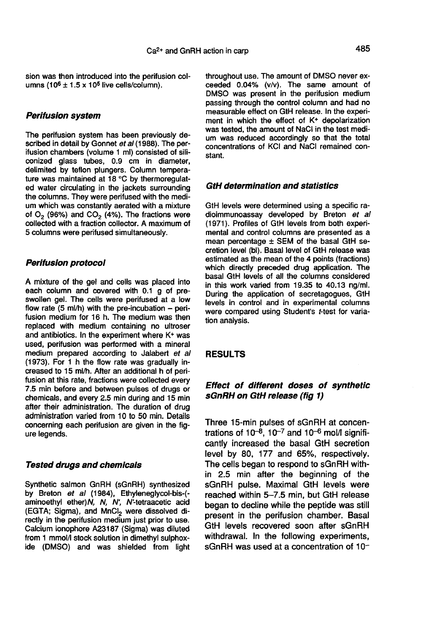sion was then introduced into the perifusion columns (10<sup>6</sup>  $\pm$  1.5 x 10<sup>5</sup> live cells/column).

#### Perifusion system

The perifusion system has been previously described in detail by Gonnet et al (1988). The perifusion chambers (volume 1 ml) consisted of siliconized glass tubes, 0.9 cm in diameter, delimited by teflon plungers. Column tempera ture was maintained at 18 °C by thermoregulated water circulating in the jackets surrounding the columns. They were perifused with the medium which was constantly aerated with a mixture of  $O<sub>2</sub>$  (96%) and  $CO<sub>2</sub>$  (4%). The fractions were collected with a fraction collector. A maximum of 5 columns were perifused simultaneously.

#### Perifusion protocol

A mixture of the gel and cells was placed into each column and covered with 0.1 g of preswollen gel. The cells were perifused at a low flow rate  $(5 \text{ ml/h})$  with the pre-incubation – perifusion medium for 16 h. The medium was then replaced with medium containing no ultroser and antibiotics. In the experiment where K+ was used, perifusion was performed with a mineral medium prepared according to Jalabert et al (1973). For 1 h the flow rate was gradually increased to 15 ml/h. After an additional h of perifusion at this rate, fractions were collected every 7.5 min before and between pulses of drugs or chemicals, and every 2.5 min during and 15 min after their administration. The duration of drug administration varied from 10 to 50 min. Details concerning each perifusion are given in the fig ure legends.

#### Tested drugs and chemicals

Synthetic salmon GnRH (sGnRH) synthesized by Breton *et al* (1984), Ethyleneglycol-bis-(-<br>aminoethyl ether)N, N, N', N'-tetraacetic acid<br>(EGTA; Sigma), and MnCl<sub>2</sub> were dissolved di-<br>rectly in the perifusion medium iust prior to use. aminoethyl ether) $N$ ,  $N$ ,  $N'$ ,  $N'$ -tetraacetic acid (EGTA; Sigma), and MnCl<sub>2</sub> were dissolved directly in the perifusion medium just prior to use. Calcium ionophore A23187 (Sigma) was diluted from 1 mmol/l stock solution in dimethyl sulphoxide (DMSO) and was shielded from light throughout use. The amount of DMSO never exceeded 0.04% (v/v). The same amount of DMSO was present in the perifusion medium passing through the control column and had no<br>measurable effect on GtH release. In the experiment in which the effect of  $K^+$  depolarization was tested, the amount of NaCl in the test medium was reduced accordingly so that the total concentrations of KCI and NaCI remained constant.

#### GtH determination and statistics

GtH levels were determined using a specific radioimmunoassay developed by Breton et al (1971). Profiles of GtH levels from both experimental and control columns are presented as a mean percentage  $\pm$  SEM of the basal GtH secretion level (bl). Basal level of GtH release was estimated as the mean of the 4 points (fractions) which directly preceded drug application. The basal GtH levels of all the columns considered in this work varied from 19.35 to 40.13 ng/ml. During the application of secretagogues, GtH levels in control and in experimental columns were compared using Student's t-test for variation analysis.

#### RESULTS

#### Effect of different doses of synthetic sGnRH on GtH release (fig 1)

Three 15-min pulses of sGnRH at concentrations of  $10^{-8}$ ,  $10^{-7}$  and  $10^{-6}$  mol/I significantly increased the basal GtH secretion level by 80, 177 and 65%, respectively. The cells began to respond to sGnRH within 2.5 min after the beginning of the sGnRH pulse. Maximal GtH levels were reached within 5-7.5 min, but GtH release began to decline while the peptide was still present in the perifusion chamber. Basal GtH levels recovered soon after sGnRH withdrawal. In the following experiments, sGnRH was used at a concentration of 10-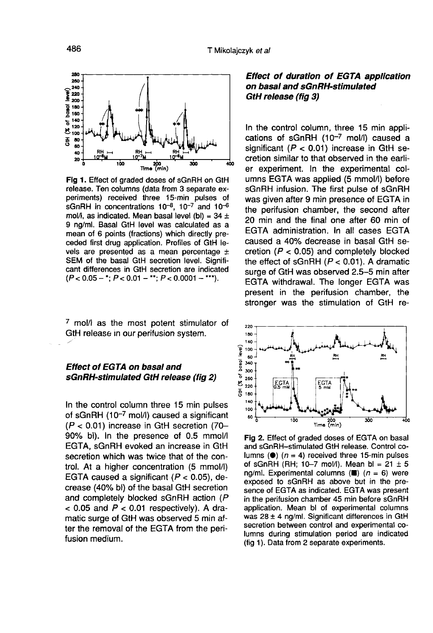

Fig 1. Effect of graded doses of sGnRH on GtH release. Ten columns (data from 3 separate experiments) received three 15-min pulses of sGnRH in concentrations  $10^{-8}$ ,  $10^{-7}$  and  $10^{-6}$ mol/l, as indicated. Mean basal level (bl) =  $34 \pm$ 9 ng/ml. Basal GtH level was calculated as a mean of 6 points (fractions) which directly preceded first drug application. Profiles of GtH levels are presented as a mean percentage  $\pm$ SEM of the basal GtH secretion level. Significant differences in GtH secretion are indicated  $(P < 0.05 -$ \*;  $P < 0.01 -$ \*\*;  $P < 0.0001 -$ \*\*\*).

<sup>7</sup> mol/I as the most potent stimulator of GtH release in our perifusion system.

#### Effect of EGTA on basal and sGnRH-stimulated GtH release (fig 2)

In the control column three 15 min pulses<br>of sGnRH (10<sup>-7</sup> mol/l) caused a significant<br>( $P < 0.01$ ) increase in GtH secretion (70- $(P < 0.01)$  increase in GtH secretion (70-90% bl). In the presence of 0.5 mmol/I EGTA, sGnRH evoked an increase in GtH secretion which was twice that of the control. At a higher concentration (5 mmol/1) EGTA caused a significant  $(P < 0.05)$ , decrease (40% bl) of the basal GtH secretion<br>and completely blocked sGnRH action (P  $<$  0.05 and  $P <$  0.01 respectively). A dramatic surge of GtH was observed 5 min after the removal of the EGTA from the perifusion medium.

#### Effect of duration of EGTA application on basal and sGnRH stimulated GtH release (fig 3)

In the control column, three 15 min applications of sGnRH  $(10^{-7}$  mol/l) caused a significant ( $P < 0.01$ ) increase in GtH secretion similar to that observed in the earlier experiment. In the experimental columns EGTA was applied (5 mmol/I) before sGnRH infusion. The first pulse of sGnRH was given after 9 min presence of EGTA in the perifusion chamber, the second after 20 min and the final one after 60 min of EGTA administration. In all cases EGTA caused a 40% decrease in basal GtH secretion  $(P < 0.05)$  and completely blocked the effect of sGnRH  $(P < 0.01)$ . A dramatic surge of GtH was observed 2.5-5 min after EGTA withdrawal. The longer EGTA was present in the perifusion chamber, the stronger was the stimulation of GtH re-



Fig 2. Effect of graded doses of EGTA on basal and sGnRH-stimulated GtH release. Control columns ( $\bullet$ ) ( $n = 4$ ) received three 15-min pulses of sGnRH (RH; 10-7 mol/l). Mean bl =  $21 \pm 5$ ng/ml. Experimental columns ( $\blacksquare$ ) ( $n = 6$ ) were exposed to sGnRH as above but in the presence of EGTA as indicated. EGTA was present in the perifusion chamber 45 min before sGnRH application. Mean bl of experimental columns was  $28 \pm 4$  ng/ml. Significant differences in GtH secretion between control and experimental columns during stimulation period are indicated (fig 1). Data from 2 separate experiments.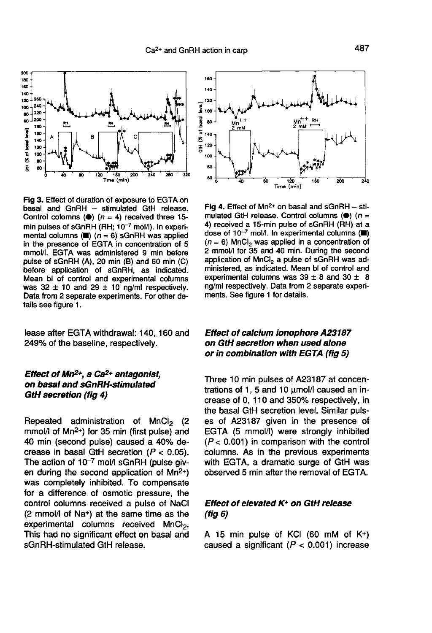

Fig 3. Effect of duration of exposure to EGTA on basal and GnRH -- stimulated GtH release. Control colomns ( $\bullet$ ) ( $n = 4$ ) received three 15min pulses of sGnRH (RH: 10<sup>-7</sup> mol/l), In experimental columns ( $\blacksquare$ ) ( $n = 6$ ) sGnRH was applied in the presence of EGTA in concentration of 5 mmol/l. EGTA was administered 9 min before pulse of sGnRH (A), 20 min (B) and 60 min (C) before application of sGnRH, as indicated. Mean bl of control and experimental columns was  $32 \pm 10$  and  $29 \pm 10$  ng/ml respectively. Data from 2 separate experiments. For other details see figure 1.

lease after EGTA withdrawal: 140, 160 and 249% of the baseline, respectively.

## Effect of Mn<sup>2+</sup>, a Ca<sup>2+</sup> antagonist,<br>on basal and sGnRH-stimulated GtH secretion (fig 4)

**Carl secretion (iig +)**<br>Repeated administration of MnCl<sub>2</sub> (2<br>mmol/l of Mn<sup>2+</sup>) for 35 min (first pulse) and Repeated administration of MnCl<sub>2</sub> (2<br>mmol/I of Mn<sup>2+</sup>) for 35 min (first pulse) and<br>40 min (second pulse) caused a 40% de-40 min (second pulse) caused a 40% decrease in basal GtH secretion  $(P < 0.05)$ . The action of  $10^{-7}$  mol/l sGnRH (pulse giv-<br>en during the second application of Mn<sup>2+</sup>)<br>was completely inhibited. To compensate for a difference of osmotic pressure, the control columns received a pulse of NaCl (2 mmol/I of Na+) at the same time as the experimental columns received MnC $l_2$ .<br>This had no significant effect on basal and sGnRH-stimulated GtH release.



Fig 4. Effect of  $Mn^{2+}$  on basal and sGnRH - stimulated GtH release. Control columns ( $\bullet$ ) ( $n =$ 4) received a 15-min pulse of sGnRH (RH) at a dose of  $10^{-7}$  mol/l. In experimental columns ( $\blacksquare$ )  $(n = 6)$  MnCl<sub>2</sub> was applied in a concentration of 2 mmol/l for 35 and 40 min. During the second application of MnCl<sub>2</sub> a pulse of sGnRH was administered, as indicated. Mean bl of control and experimental columns was  $39 \pm 8$  and  $30 \pm 8$ ng/ml respectively. Data from 2 separate experiments. See figure 1 for details.

#### Effect of calcium ionophore A23787 on GtH secretion when used alone or in combination with EGTA (fig 5)

Three 10 min pulses of A23187 at concentrations of 1, 5 and 10  $\mu$ mol/I caused an increase of 0, 110 and 350% respectively, in the basal GtH secretion level. Similar puls es of A23187 given in the presence of EGTA (5 mmol/I) were strongly inhibited  $(P < 0.001)$  in comparison with the control columns. As in the previous experiments with EGTA, a dramatic surge of GtH was observed 5 min after the removal of EGTA.

#### Effect of elevated K+ on GtH release (fig 6)

A 15 min pulse of KCI (60 mM of K+) caused a significant ( $P < 0.001$ ) increase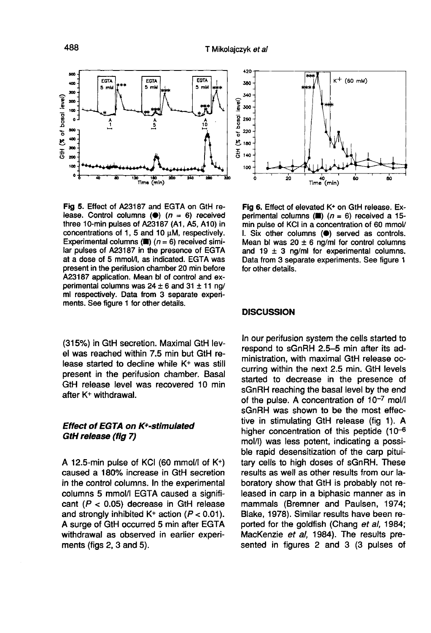

Fig 5. Effect of A23187 and EGTA on GtH release. Control columns ( $\bullet$ ) ( $n = 6$ ) received three 10-min pulses of A23187 (A1, A5, A10) in concentrations of 1, 5 and 10 µM, respectively. Experimental columns ( $\blacksquare$ ) ( $n = 6$ ) received similar pulses of A23187 in the presence of EGTA at a dose of 5 mmol/l, as indicated. EGTA was present in the perifusion chamber 20 min before A23187 application. Mean bl of control and experimental columns was  $24 \pm 6$  and  $31 \pm 11$  ng/ ml respectively. Data from 3 separate experiments. See figure 1 for other details.

(315%) in GtH secretion. Maximal GtH level was reached within 7.5 min but GtH release started to decline while K+ was still present in the perifusion chamber. Basal GtH release level was recovered 10 min after K+ withdrawal. Effect of EGTA on K+-stimulated<br>Effect of EGTA on K+-stimulated after K+ withdrawal.<br>Effect of EGTA on K+-stimulated GtH release (fig 7)

# GtH release (fig 7)

A 12.5-min pulse of KCI (60 mmol/I of K+) caused a 180% increase in GtH secretion in the control columns. In the experimental columns 5 mmol/I EGTA caused a significant ( $P < 0.05$ ) decrease in GtH release and strongly inhibited  $K^+$  action ( $P < 0.01$ ). A surge of GtH occurred 5 min after EGTA withdrawal as observed in earlier experiments (figs 2, 3 and 5).



Fig 6. Effect of elevated K+ on GtH release. Experimental columns ( $\blacksquare$ ) (n = 6) received a 15min pulse of KCI in a concentration of 60 mmol/ I. Six other columns (.) served as controls. Mean bl was  $20 \pm 6$  ng/ml for control columns and 19  $\pm$  3 ng/ml for experimental columns. Data from 3 separate experiments. See figure 1 for other details.

#### **DISCUSSION**

In our perifusion system the cells started to respond to sGnRH 2.5-5 min after its administration, with maximal GtH release occurring within the next 2.5 min. GtH levels started to decrease in the presence of sGnRH reaching the basal level by the end of the pulse. A concentration of  $10^{-7}$  mol/l sGnRH was shown to be the most effective in stimulating GtH release (fig 1). A higher concentration of this peptide  $(10^{-6})$ mol/1) was less potent, indicating a possible rapid desensitization of the carp pituitary cells to high doses of sGnRH. These results as well as other results from our laboratory show that GtH is probably not released in carp in a biphasic manner as in mammals (Bremner and Paulsen, 1974; Blake, 1978). Similar results have been reported for the goldfish (Chang et al, 1984; MacKenzie et al. 1984). The results presented in figures 2 and 3 (3 pulses of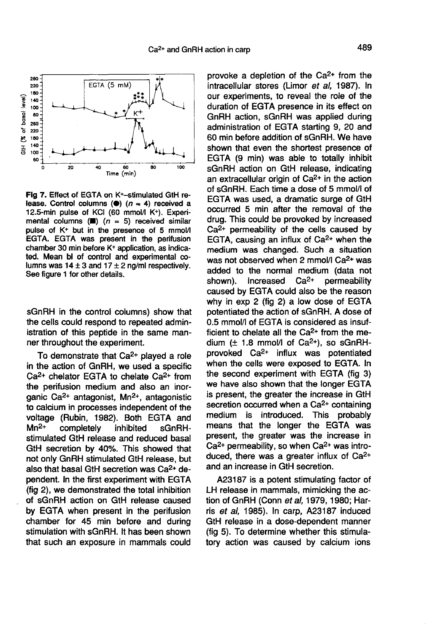

Fig 7. Effect of EGTA on K+-stimulated GtH release. Control columns ( $\bullet$ ) ( $n = 4$ ) received a 12.5-min pulse of KCI (60 mmol/l K+). Experimental columns ( $\blacksquare$ ) ( $n = 5$ ) received similar pulse of K<sup>+</sup> but in the presence of 5 mmol/l EGTA. EGTA was present in the perifusion chamber 30 min before K+ application, as indicated. Mean bl of control and experimental columns was  $14 \pm 3$  and  $17 \pm 2$  ng/ml respectively. See figure 1 for other details.

sGnRH in the control columns) show that the cells could respond to repeated administration of this peptide in the same manner throughout the experiment.

To demonstrate that  $Ca<sup>2+</sup>$  played a role in the action of GnRH, we used a specific  $Ca<sup>2+</sup>$  chelator EGTA to chelate  $Ca<sup>2+</sup>$  from the perifusion medium and also an inorganic Ca2+ antagonist, Mn2+, antagonistic to calcium in processes independent of the voltage (Rubin, 1982). Both EGTA and to calcium in processes independent of the<br>voltage (Rubin, 1982). Both EGTA and<br>Mn<sup>2+</sup> completely inhibited sGnRH-<br>etimulated Cill relaces and reduced book stimulated GtH release and reduced basal GtH secretion by 40%. This showed that our secretion by 40%. This showed that<br>not only GnRH stimulated GtH release, but<br>also that basal GtH secretion was Ca<sup>2+</sup> dependent. In the first experiment with EGTA (fig 2), we demonstrated the total inhibition of sGnRH action on GtH release caused by EGTA when present in the perifusion chamber for 45 min before and during stimulation with sGnRH. It has been shown that such an exposure in mammals could

provoke a depletion of the Ca<sup>2+</sup> from the intracellular stores (Limor et al. 1987). In our experiments, to reveal the role of the duration of EGTA presence in its effect on GnRH action, sGnRH was applied during administration of EGTA starting 9, 20 and 60 min before addition of sGnRH. We have shown that even the shortest presence of EGTA (9 min) was able to totally inhibit<br>sGnRH action on GtH release, indicating an extracellular origin of  $Ca<sup>2+</sup>$  in the action of sGnRH. Each time a dose of 5 mmol/I of EGTA was used, a dramatic surge of GtH occurred 5 min after the removal of the drug. This could be provoked by increased Ca<sup>2+</sup> permeability of the cells caused by EGTA, causing an influx of  $Ca<sup>2+</sup>$  when the EGTA, causing an initiax or Ca $\epsilon$ + when the<br>medium was changed. Such a situation<br>was not observed when 2 mmol/I Ca $\epsilon$ + was added to the normal medium (data not shown). Increased  $Ca<sup>2+</sup>$  permeability shown). Increased Ca<sup>2+</sup> permeability caused by EGTA could also be the reason why in exp 2 (fig 2) a low dose of EGTA potentiated the action of sGnRH. A dose of 0.5 mmol/I of EGTA is considered as insuf-0.5 mmol/l of EGTA is considered as insuf-<br>ficient to chelate all the Ca<sup>2+</sup> from the me-<br>dium ( $\pm$  1.8 mmol/l of Ca<sup>2+</sup>), so sGnRH-<br>provoked. Ca<sup>2+</sup> influx was potentiated dium ( $\pm$  1.8 mmol/l of Ca<sup>2+</sup>), so sGnRH-<br>provoked Ca<sup>2+</sup> influx was potentiated when the cells were exposed to EGTA. In the second experiment with EGTA (fig. 3) we have also shown that the longer EGTA is present, the greater the increase in GtH secretion occurred when a Ca<sup>2+</sup> containing<br>medium is introduced. This probably means that the longer the EGTA was present, the greater was the increase in present, the greater was the increase in<br>Ca<sup>2+</sup> permeability, so when Ca<sup>2+</sup> was intro-<br>duced, there was a greater influx of Ca<sup>2+</sup> and an increase in GtH secretion.

A23187 is a potent stimulating factor of LH release in mammals, mimicking the action of GnRH (Conn et al, 1979, 1980; Harris et al, 1985). In carp, A23187 induced GtH release in a dose-dependent manner (fig 5). To determine whether this stimulatory action was caused by calcium ions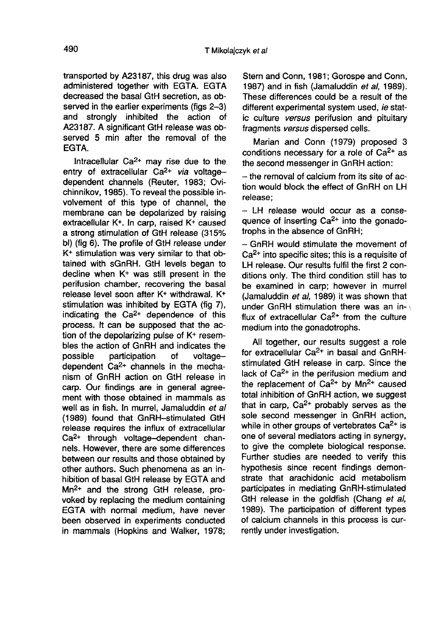transported by A23187, this drug was also administered together with EGTA. EGTA decreased the basal GtH secretion, as observed in the earlier experiments (figs 2-3) and strongly inhibited the action of A23187. A significant GtH release was observed 5 min after the removal of the **FGTA** 

ITA.<br>Intracellular Ca<sup>2+</sup> may rise due to the<br>Intracellular Ca<sup>2+</sup> may rise due to the Intracellular Ca<sup>2+</sup> may rise due to the<br>entry of extracellular Ca<sup>2+</sup> via voltagedependent channels (Reuter, 1983; Ovichinnikov, 1985). To reveal the possible involvement of this type of channel, the membrane can be depolarized by raising extracellular K+. In carp, raised K+ caused a strong stimulation of GtH release (315% bl) (fig 6). The profile of GtH release under K+ stimulation was very similar to that obtained with sGnRH. GtH levels began to decline when K+ was still present in the perifusion chamber, recovering the basal release level soon after K+ withdrawal. K+ stimulation was inhibited by EGTA (fig 7),<br>stimulation was inhibited by EGTA (fig 7),<br>indicating the Ca<sup>2+</sup> dependence of this process. It can be supposed that the action of the depolarizing pulse of K+ resembles the action of GnRH and indicates the possible participation of voltagedependent  $Ca<sup>2+</sup>$  channels in the mechanism of GnRH action on GtH release in carp. Our findings are in general agreement with those obtained in mammals as well as in fish. In murrel, Jamaluddin et all (1989) found that GnRH--stimulated GtH release requires the influx of extracellular Ca2+ through voltage-dependent channels. However, there are some differences between our results and those obtained by other authors. Such phenomena as an inhibition of basal GtH release by EGTA and Mn2+ and the strong GtH release, provoked by replacing the medium containing EGTA with normal medium, have never been observed in experiments conducted in mammals (Hopkins and Walker, 1978;

Stern and Conn, 1981; Gorospe and Conn, 1987) and in fish (Jamaluddin et al. 1989). These differences could be a result of the different experimental system used, ie static culture versus perifusion and pituitary fragments versus dispersed cells.

Marian and Conn (1979) proposed 3 conditions necessary for a role of  $Ca<sup>2+</sup>$  as the second messenger in GnRH action:

- the removal of calcium from its site of action would block the effect of GnRH on LH release;

- LH release would occur as a consequence of inserting  $Ca<sup>2+</sup>$  into the gonadotrophs in the absence of GnRH;

- GnRH would stimulate the movement of Ca2+ into specific sites; this is a requisite of LH release. Our results fulfil the first 2 conditions only. The third condition still has to be examined in carp; however in murrel (Jamaluddin et al, 1989) it was shown that under GnRH stimulation there was an influx of extracellular  $Ca^{2+}$  from the culture medium into the gonadotrophs.

All together, our results suggest a role for extracellular Ca<sup>2+</sup> in basal and GnRHstimulated GtH release in carp. Since the lack of  $Ca<sup>2+</sup>$  in the perifusion medium and the replacement of  $Ca^{2+}$  by  $Mn^{2+}$  caused total inhibition of GnRH action, we suggest that in carp.  $Ca^{2+}$  probably serves as the sole second messenger in GnRH action, while in other groups of vertebrates  $Ca<sup>2+</sup>$  is one of several mediators acting in synergy, to give the complete biological response. Further studies are needed to verify this hypothesis since recent findings demonstrate that arachidonic acid metabolism participates in mediating GnRH-stimulated GtH release in the goldfish (Chang et al, 1989). The participation of different types of calcium channels in this process is currently under investigation.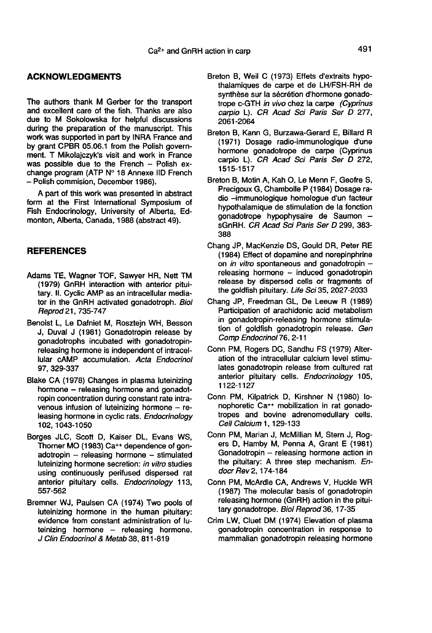#### ACKNOWLEDGMENTS

The authors thank M Gerber for the transport and excellent care of the fish. Thanks are also due to M Sokolowska for helpful discussions during the preparation of the manuscript. This work was supported in part by INRA France and<br>by grant CPBR 05.06.1 from the Polish government. T Mikolaiczyk's visit and work in France was possible due to the French - Polish ex-<br>change program (ATP  $N^{\circ}$  18 Annexe IID French - Polish commision, December 1986).

A part of this work was presented in abstract form at the First International Symposium of Fish Endocrinology, University of Alberta, Edmonton, Alberta, Canada, 1988 (abstract 49).

#### REFERENCES

- Adams TE, Wagner TOF, Sawyer HR, Nett TM (1979) GnRH interaction with anterior pituitary. li. Cyclic AMP as an intracellular mediator in the GnRH activated gonadotroph. Biol Reprod 21, 735-747
- Benoist L, Le Dafniet M, Rosztejn WH, Besson J, Duval J (1981) Gonadotropin release by gonadotrophs incubated with gonadotropinreleasing hormone is independent of intracellular cAMP accumulation. Acta Endocrinol 97, 329-337
- Blake CA (1978) Changes in plasma luteinizing hormone - releasing hormone and gonadotropin concentration during constant rate intravenous infusion of luteinizing hormone - releasing hormone in cyclic rats. Endocrinology 102, 1043-1050
- Borges JLC, Scott D, Kaiser DL, Evans WS, Thorner MO (1983) Ca++ dependence of gon $adotropin$  - releasing hormone - stimulated luteinizing hormone secretion: in vitro studies using continuously perifused dispersed rat anterior pituitary cells. Endocrinology 113, 557-562
- Bremner WJ, Paulsen CA (1974) Two pools of luteinizing hormone in the human pituitary: evidence from constant administration of lu $t$ einizing hormone  $-$  releasing hormone. J Clin Endocrinol & Metab 38, 811-819
- Breton B, Weil C (1973) Effets d'extraits hypothalamiques de carpe et de LH/FSH-RH de synthèse sur la sécrétion d'hormone gonadotrope c-GTH in vivo chez la carpe (Cyprinus carpio L). CR Acad Sci Paris Ser D 277, 2061-2064
- Breton B, Kann G, Burzawa-Gerard E, Billard R (1971) Dosage radio-immunologique d'une hormone gonadotrope de carpe (Cyprinus carpio L). CR Acad Sci Paris Ser D 272, 1515-1517
- Breton B, Motin A, Kah 0, Le Menn F, Geofre S, Precigoux G, Chambolle P (1984) Dosage radio -immunologique homologue d'un facteur hypothalamique de stimulation de la fonction gonadotrope hypophysaire de Saumon sGnRH. CR Acad Sci Paris Ser D 299, 383- 388
- Chang JP, MacKenzie DS, Gould DR, Peter RE (1984) Effect of dopamine and norepinphrine on in vitro spontaneous and gonadotropin  $$  $releasina$  hormone  $-$  induced gonadotropin release by dispersed cells or fragments of the goldfish pituitary. Life Sci 35, 2027-2033
- Chang JP, Freedman GL, De Leeuw R (1989) Participation of arachidonic acid metabolism in gonadotropin-releasing hormone stimulation of goldfish gonadotropin release. Gen Comp Endocrinol 76, 2-11
- Conn PM, Rogers DC, Sandhu FS (1979) Alteration of the intracellular calcium level stimulates gonadotropin release from cultured rat anterior pituitary cells. Endocrinology 105, 1122-1127
- Conn PM, Kilpatrick D, Kirshner N (1980) tonophoretic Ca++ mobilization in rat gonadotropes and bovine adrenomedullary cells. Cell Calcium 1, 129-133
- Conn PM, Marian J, McMillian M, Stern J, Rog ers D, Hamby M, Penna A, Grant E (1981) Gonadotropin  $-$  releasing hormone action in the pituitary: A three step mechanism. Endocr Rev 2, 174-184
- Conn PM, McArdle CA, Andrews V, Huckle WR (1987) The molecular basis of gonadotropin releasing hormone (GnRH) action in the pituitary gonadotrope. Biol Reprod 36, 17-35
- Crim LW, Cluet DM (1974) Elevation of plasma gonadotropin concentration in response to mammalian gonadotropin releasing hormone